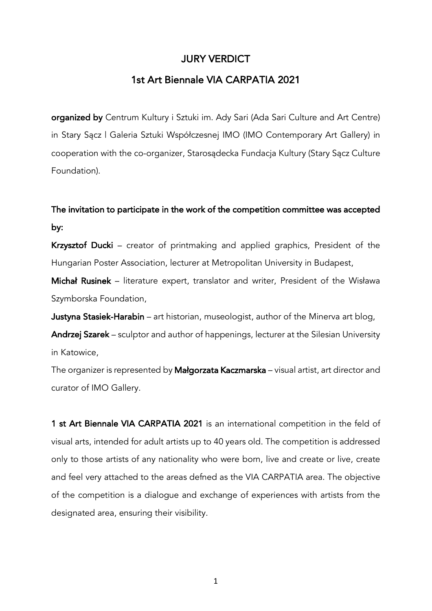### JURY VERDICT

## 1st Art Biennale VIA CARPATIA 2021

organized by Centrum Kultury i Sztuki im. Ady Sari (Ada Sari Culture and Art Centre) in Stary Sącz | Galeria Sztuki Współczesnej IMO (IMO Contemporary Art Gallery) in cooperation with the co-organizer, Starosądecka Fundacja Kultury (Stary Sącz Culture Foundation).

# The invitation to participate in the work of the competition committee was accepted by:

Krzysztof Ducki – creator of printmaking and applied graphics, President of the Hungarian Poster Association, lecturer at Metropolitan University in Budapest,

Michał Rusinek – literature expert, translator and writer, President of the Wisława Szymborska Foundation,

Justyna Stasiek-Harabin – art historian, museologist, author of the Minerva art blog,

Andrzej Szarek – sculptor and author of happenings, lecturer at the Silesian University in Katowice,

The organizer is represented by Małgorzata Kaczmarska – visual artist, art director and curator of IMO Gallery.

1 st Art Biennale VIA CARPATIA 2021 is an international competition in the feld of visual arts, intended for adult artists up to 40 years old. The competition is addressed only to those artists of any nationality who were born, live and create or live, create and feel very attached to the areas defned as the VIA CARPATIA area. The objective of the competition is a dialogue and exchange of experiences with artists from the designated area, ensuring their visibility.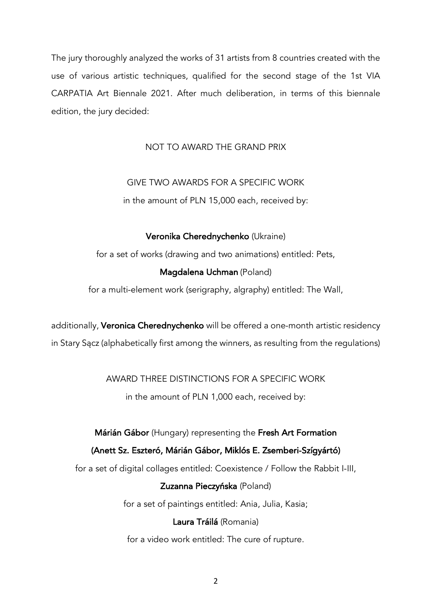The jury thoroughly analyzed the works of 31 artists from 8 countries created with the use of various artistic techniques, qualified for the second stage of the 1st VIA CARPATIA Art Biennale 2021. After much deliberation, in terms of this biennale edition, the jury decided:

#### NOT TO AWARD THE GRAND PRIX

# GIVE TWO AWARDS FOR A SPECIFIC WORK

in the amount of PLN 15,000 each, received by:

#### Veronika Cherednychenko (Ukraine)

for a set of works (drawing and two animations) entitled: Pets,

#### Magdalena Uchman (Poland)

for a multi-element work (serigraphy, algraphy) entitled: The Wall,

additionally, Veronica Cherednychenko will be offered a one-month artistic residency in Stary Sącz (alphabetically first among the winners, as resulting from the regulations)

#### AWARD THREE DISTINCTIONS FOR A SPECIFIC WORK

in the amount of PLN 1,000 each, received by:

#### Márián Gábor (Hungary) representing the Fresh Art Formation

#### (Anett Sz. Eszteró, Márián Gábor, Miklós E. Zsemberi-Szígyártó)

for a set of digital collages entitled: Coexistence / Follow the Rabbit I-III,

#### Zuzanna Pieczyńska (Poland)

for a set of paintings entitled: Ania, Julia, Kasia;

#### Laura Tráilá (Romania)

for a video work entitled: The cure of rupture.